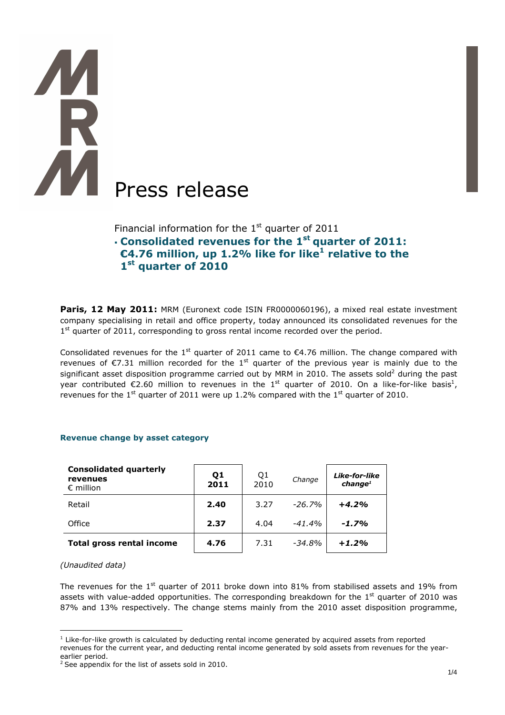# **TAR AN** Press release

Financial information for the  $1<sup>st</sup>$  quarter of 2011 **Consolidated revenues for the 1st quarter of 2011: €4.76 million, up 1.2% like for like<sup>1</sup> relative to the 1 st quarter of 2010**

Paris, 12 May 2011: MRM (Euronext code ISIN FR0000060196), a mixed real estate investment company specialising in retail and office property, today announced its consolidated revenues for the 1<sup>st</sup> quarter of 2011, corresponding to gross rental income recorded over the period.

Consolidated revenues for the 1<sup>st</sup> quarter of 2011 came to  $\epsilon$ 4.76 million. The change compared with revenues of  $\epsilon$ 7.31 million recorded for the 1<sup>st</sup> quarter of the previous year is mainly due to the significant asset disposition programme carried out by MRM in 2010. The assets sold<sup>2</sup> during the past year contributed  $\epsilon$ 2.60 million to revenues in the 1<sup>st</sup> quarter of 2010. On a like-for-like basis<sup>1</sup>, revenues for the  $1<sup>st</sup>$  quarter of 2011 were up 1.2% compared with the  $1<sup>st</sup>$  quarter of 2010.

| <b>Consolidated quarterly</b><br>revenues<br>$\epsilon$ million | Q1<br>2011 | Q1<br>2010 | Change   | Like-for-like<br>change <sup>1</sup> |
|-----------------------------------------------------------------|------------|------------|----------|--------------------------------------|
| Retail                                                          | 2.40       | 3.27       | $-26.7%$ | $+4.2%$                              |
| Office                                                          | 2.37       | 4.04       | $-41.4%$ | $-1.7%$                              |
| <b>Total gross rental income</b>                                | 4.76       | 7.31       | $-34.8%$ | $+1.2%$                              |

## **Revenue change by asset category**

### *(Unaudited data)*

 $\overline{a}$ 

The revenues for the  $1<sup>st</sup>$  quarter of 2011 broke down into 81% from stabilised assets and 19% from assets with value-added opportunities. The corresponding breakdown for the  $1<sup>st</sup>$  quarter of 2010 was 87% and 13% respectively. The change stems mainly from the 2010 asset disposition programme,

 $<sup>1</sup>$  Like-for-like growth is calculated by deducting rental income generated by acquired assets from reported</sup> revenues for the current year, and deducting rental income generated by sold assets from revenues for the yearearlier period.

 $2$  See appendix for the list of assets sold in 2010.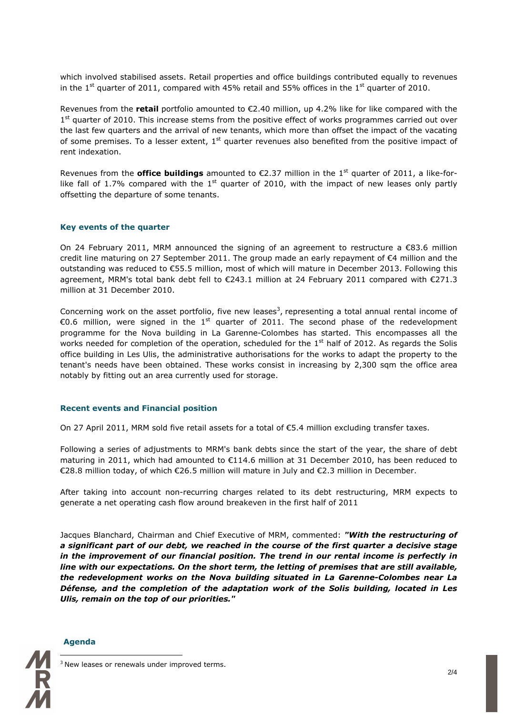which involved stabilised assets. Retail properties and office buildings contributed equally to revenues in the 1<sup>st</sup> quarter of 2011, compared with 45% retail and 55% offices in the 1<sup>st</sup> quarter of 2010.

Revenues from the **retail** portfolio amounted to €2.40 million, up 4.2% like for like compared with the 1<sup>st</sup> quarter of 2010. This increase stems from the positive effect of works programmes carried out over the last few quarters and the arrival of new tenants, which more than offset the impact of the vacating of some premises. To a lesser extent,  $1<sup>st</sup>$  quarter revenues also benefited from the positive impact of rent indexation.

Revenues from the **office buildings** amounted to €2.37 million in the 1<sup>st</sup> quarter of 2011, a like-forlike fall of 1.7% compared with the 1<sup>st</sup> quarter of 2010, with the impact of new leases only partly offsetting the departure of some tenants.

### **Key events of the quarter**

On 24 February 2011, MRM announced the signing of an agreement to restructure a €83.6 million credit line maturing on 27 September 2011. The group made an early repayment of €4 million and the outstanding was reduced to €55.5 million, most of which will mature in December 2013. Following this agreement, MRM's total bank debt fell to €243.1 million at 24 February 2011 compared with €271.3 million at 31 December 2010.

Concerning work on the asset portfolio, five new leases<sup>3</sup>, representing a total annual rental income of €0.6 million, were signed in the 1<sup>st</sup> quarter of 2011. The second phase of the redevelopment programme for the Nova building in La Garenne-Colombes has started. This encompasses all the works needed for completion of the operation, scheduled for the  $1<sup>st</sup>$  half of 2012. As regards the Solis office building in Les Ulis, the administrative authorisations for the works to adapt the property to the tenant's needs have been obtained. These works consist in increasing by 2,300 sqm the office area notably by fitting out an area currently used for storage.

### **Recent events and Financial position**

On 27 April 2011, MRM sold five retail assets for a total of €5.4 million excluding transfer taxes.

Following a series of adjustments to MRM's bank debts since the start of the year, the share of debt maturing in 2011, which had amounted to €114.6 million at 31 December 2010, has been reduced to €28.8 million today, of which €26.5 million will mature in July and €2.3 million in December.

After taking into account non-recurring charges related to its debt restructuring, MRM expects to generate a net operating cash flow around breakeven in the first half of 2011

Jacques Blanchard, Chairman and Chief Executive of MRM, commented: *"With the restructuring of a significant part of our debt, we reached in the course of the first quarter a decisive stage in the improvement of our financial position. The trend in our rental income is perfectly in line with our expectations. On the short term, the letting of premises that are still available, the redevelopment works on the Nova building situated in La Garenne-Colombes near La Défense, and the completion of the adaptation work of the Solis building, located in Les Ulis, remain on the top of our priorities."* 



### **Agenda**

 $\overline{a}$ 

<sup>3</sup> New leases or renewals under improved terms.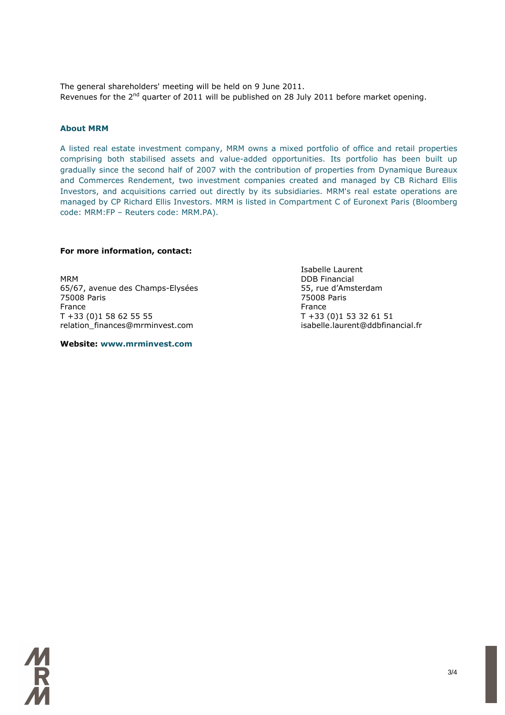The general shareholders' meeting will be held on 9 June 2011. Revenues for the 2<sup>nd</sup> quarter of 2011 will be published on 28 July 2011 before market opening.

### **About MRM**

A listed real estate investment company, MRM owns a mixed portfolio of office and retail properties comprising both stabilised assets and value-added opportunities. Its portfolio has been built up gradually since the second half of 2007 with the contribution of properties from Dynamique Bureaux and Commerces Rendement, two investment companies created and managed by CB Richard Ellis Investors, and acquisitions carried out directly by its subsidiaries. MRM's real estate operations are managed by CP Richard Ellis Investors. MRM is listed in Compartment C of Euronext Paris (Bloomberg code: MRM:FP – Reuters code: MRM.PA).

### **For more information, contact:**

MRM DDB Financial 65/67, avenue des Champs-Elysées 55, rue d'Amsterdam 75008 Paris 75008 Paris France **France France** T +33 (0)1 58 62 55 55 T +33 (0)1 53 32 61 51 relation\_finances@mrminvest.com isabelle.laurent@ddbfinancial.fr

**Website: www.mrminvest.com** 

Isabelle Laurent